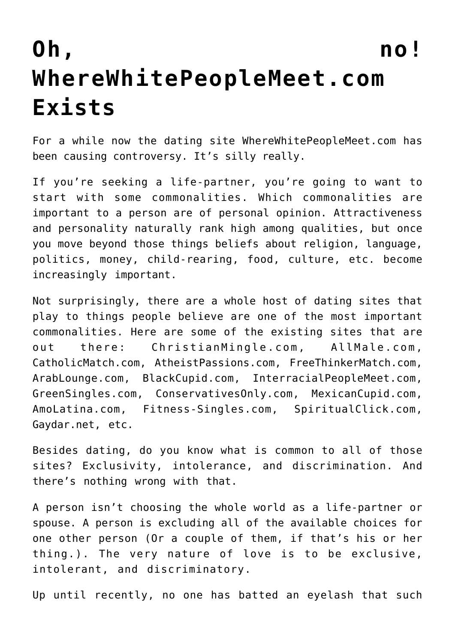## **[Oh, no!](https://intellectualtakeout.org/2016/03/oh-no-wherewhitepeoplemeet-com-exists/) [WhereWhitePeopleMeet.com](https://intellectualtakeout.org/2016/03/oh-no-wherewhitepeoplemeet-com-exists/) [Exists](https://intellectualtakeout.org/2016/03/oh-no-wherewhitepeoplemeet-com-exists/)**

For a while now the dating site WhereWhitePeopleMeet.com has been causing controversy. It's silly really.

If you're seeking a life-partner, you're going to want to start with some commonalities. Which commonalities are important to a person are of personal opinion. Attractiveness and personality naturally rank high among qualities, but once you move beyond those things beliefs about religion, language, politics, money, child-rearing, food, culture, etc. become increasingly important.

Not surprisingly, there are a whole host of dating sites that play to things people believe are one of the most important commonalities. Here are some of the existing sites that are out there: ChristianMingle.com, AllMale.com, CatholicMatch.com, AtheistPassions.com, FreeThinkerMatch.com, ArabLounge.com, BlackCupid.com, InterracialPeopleMeet.com, GreenSingles.com, ConservativesOnly.com, MexicanCupid.com, AmoLatina.com, Fitness-Singles.com, SpiritualClick.com, Gaydar.net, etc.

Besides dating, do you know what is common to all of those sites? Exclusivity, intolerance, and discrimination. And there's nothing wrong with that.

A person isn't choosing the whole world as a life-partner or spouse. A person is excluding all of the available choices for one other person (Or a couple of them, if that's his or her thing.). The very nature of love is to be exclusive, intolerant, and discriminatory.

Up until recently, no one has batted an eyelash that such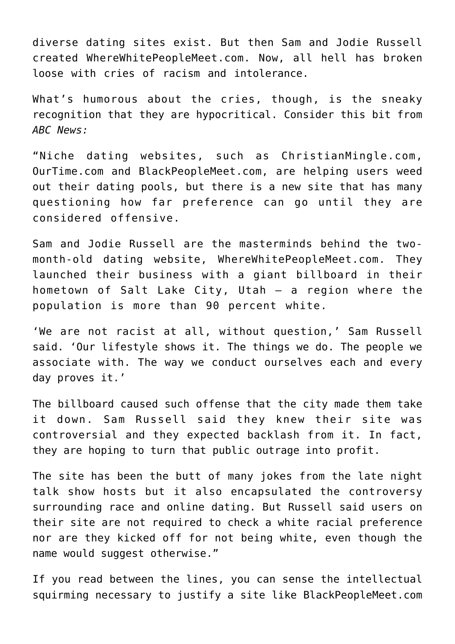diverse dating sites exist. But then Sam and Jodie Russell created WhereWhitePeopleMeet.com. Now, all hell has broken loose with cries of racism and intolerance.

What's humorous about the cries, though, is the sneaky recognition that they are hypocritical. Consider this bit from *ABC News:*

"Niche dating websites, such as ChristianMingle.com, OurTime.com and BlackPeopleMeet.com, are helping users weed out their dating pools, but there is a new site that has many questioning how far preference can go until they are considered offensive.

Sam and Jodie Russell are the masterminds behind the twomonth-old dating website, WhereWhitePeopleMeet.com. They launched their business with a giant billboard in their hometown of Salt Lake City, Utah — a region where the population is more than 90 percent white.

'We are not racist at all, without question,' Sam Russell said. 'Our lifestyle shows it. The things we do. The people we associate with. The way we conduct ourselves each and every day proves it.'

The billboard caused such offense that the city made them take it down. Sam Russell said they knew their site was controversial and they expected backlash from it. In fact, they are hoping to turn that public outrage into profit.

The site has been the butt of many jokes from the late night talk show hosts but it also encapsulated the controversy surrounding race and online dating. But Russell said users on their site are not required to check a white racial preference nor are they kicked off for not being white, even though the name would suggest otherwise."

If you read between the lines, you can sense the intellectual squirming necessary to justify a site like BlackPeopleMeet.com